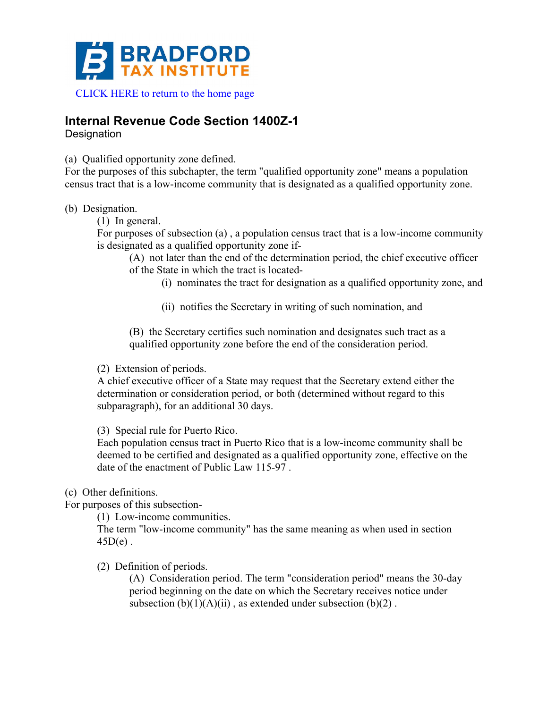

## **Internal Revenue Code Section 1400Z-1**

**Designation** 

(a) Qualified opportunity zone defined.

For the purposes of this subchapter, the term "qualified opportunity zone" means a population census tract that is a low-income community that is designated as a qualified opportunity zone.

(b) Designation.

(1) In general.

For purposes of subsection (a) , a population census tract that is a low-income community is designated as a qualified opportunity zone if-

(A) not later than the end of the determination period, the chief executive officer of the State in which the tract is located-

(i) nominates the tract for designation as a qualified opportunity zone, and

(ii) notifies the Secretary in writing of such nomination, and

(B) the Secretary certifies such nomination and designates such tract as a qualified opportunity zone before the end of the consideration period.

(2) Extension of periods.

A chief executive officer of a State may request that the Secretary extend either the determination or consideration period, or both (determined without regard to this subparagraph), for an additional 30 days.

(3) Special rule for Puerto Rico.

Each population census tract in Puerto Rico that is a low-income community shall be deemed to be certified and designated as a qualified opportunity zone, effective on the date of the enactment of Public Law 115-97 .

(c) Other definitions.

For purposes of this subsection-

(1) Low-income communities.

The term "low-income community" has the same meaning as when used in section  $45D(e)$ .

(2) Definition of periods.

(A) Consideration period. The term "consideration period" means the 30-day period beginning on the date on which the Secretary receives notice under subsection  $(b)(1)(A)(ii)$ , as extended under subsection  $(b)(2)$ .